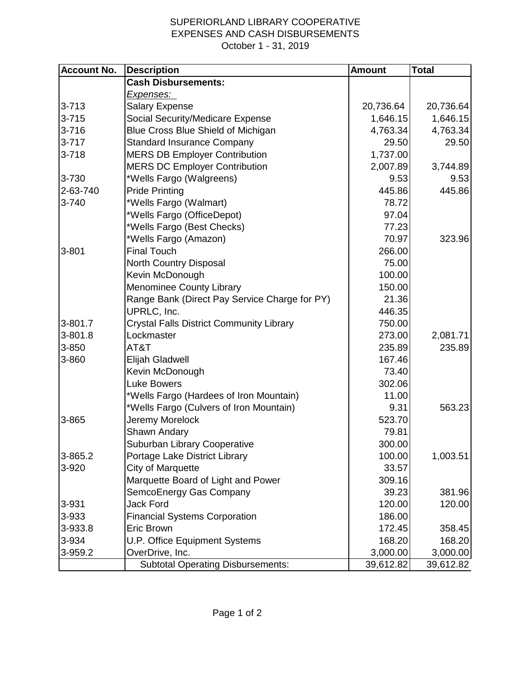## SUPERIORLAND LIBRARY COOPERATIVE EXPENSES AND CASH DISBURSEMENTS October 1 - 31, 2019

| <b>Account No.</b> | <b>Description</b>                              | <b>Amount</b> | <b>Total</b> |
|--------------------|-------------------------------------------------|---------------|--------------|
|                    | <b>Cash Disbursements:</b>                      |               |              |
|                    | Expenses:                                       |               |              |
| $3 - 713$          | <b>Salary Expense</b>                           | 20,736.64     | 20,736.64    |
| $3 - 715$          | <b>Social Security/Medicare Expense</b>         | 1,646.15      | 1,646.15     |
| $3 - 716$          | Blue Cross Blue Shield of Michigan              | 4,763.34      | 4,763.34     |
| $3 - 717$          | <b>Standard Insurance Company</b>               | 29.50         | 29.50        |
| $3 - 718$          | <b>MERS DB Employer Contribution</b>            | 1,737.00      |              |
|                    | <b>MERS DC Employer Contribution</b>            | 2,007.89      | 3,744.89     |
| 3-730              | *Wells Fargo (Walgreens)                        | 9.53          | 9.53         |
| 2-63-740           | <b>Pride Printing</b>                           | 445.86        | 445.86       |
| 3-740              | *Wells Fargo (Walmart)                          | 78.72         |              |
|                    | *Wells Fargo (OfficeDepot)                      | 97.04         |              |
|                    | *Wells Fargo (Best Checks)                      | 77.23         |              |
|                    | *Wells Fargo (Amazon)                           | 70.97         | 323.96       |
| 3-801              | <b>Final Touch</b>                              | 266.00        |              |
|                    | North Country Disposal                          | 75.00         |              |
|                    | Kevin McDonough                                 | 100.00        |              |
|                    | <b>Menominee County Library</b>                 | 150.00        |              |
|                    | Range Bank (Direct Pay Service Charge for PY)   | 21.36         |              |
|                    | UPRLC, Inc.                                     | 446.35        |              |
| 3-801.7            | <b>Crystal Falls District Community Library</b> | 750.00        |              |
| 3-801.8            | Lockmaster                                      | 273.00        | 2,081.71     |
| 3-850              | AT&T                                            | 235.89        | 235.89       |
| 3-860              | Elijah Gladwell                                 | 167.46        |              |
|                    | Kevin McDonough                                 | 73.40         |              |
|                    | <b>Luke Bowers</b>                              | 302.06        |              |
|                    | *Wells Fargo (Hardees of Iron Mountain)         | 11.00         |              |
|                    | *Wells Fargo (Culvers of Iron Mountain)         | 9.31          | 563.23       |
| 3-865              | Jeremy Morelock                                 | 523.70        |              |
|                    | <b>Shawn Andary</b>                             | 79.81         |              |
|                    | Suburban Library Cooperative                    | 300.00        |              |
| 3-865.2            | Portage Lake District Library                   | 100.00        | 1,003.51     |
| 3-920              | City of Marquette                               | 33.57         |              |
|                    | Marquette Board of Light and Power              | 309.16        |              |
|                    | SemcoEnergy Gas Company                         | 39.23         | 381.96       |
| 3-931              | <b>Jack Ford</b>                                | 120.00        | 120.00       |
| 3-933              | <b>Financial Systems Corporation</b>            | 186.00        |              |
| 3-933.8            | Eric Brown                                      | 172.45        | 358.45       |
| 3-934              | <b>U.P. Office Equipment Systems</b>            | 168.20        | 168.20       |
| 3-959.2            | OverDrive, Inc.                                 | 3,000.00      | 3,000.00     |
|                    | <b>Subtotal Operating Disbursements:</b>        | 39,612.82     | 39,612.82    |